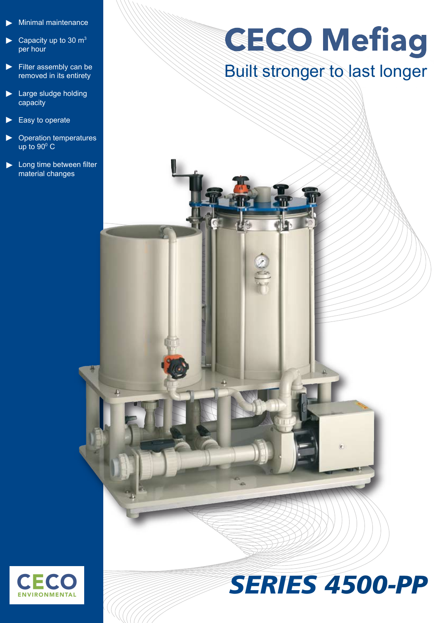- Minimal maintenance ►
- Capacity up to 30  $m<sup>3</sup>$ per hour ►
- Filter assembly can be removed in its entirety ►
- ► Large sludge holding capacity
- Easy to operate ►
- Operation temperatures up to  $90^{\circ}$  C ►
- ► Long time between filter material changes

## **GECO Mefiag**

## Built stronger to last longer